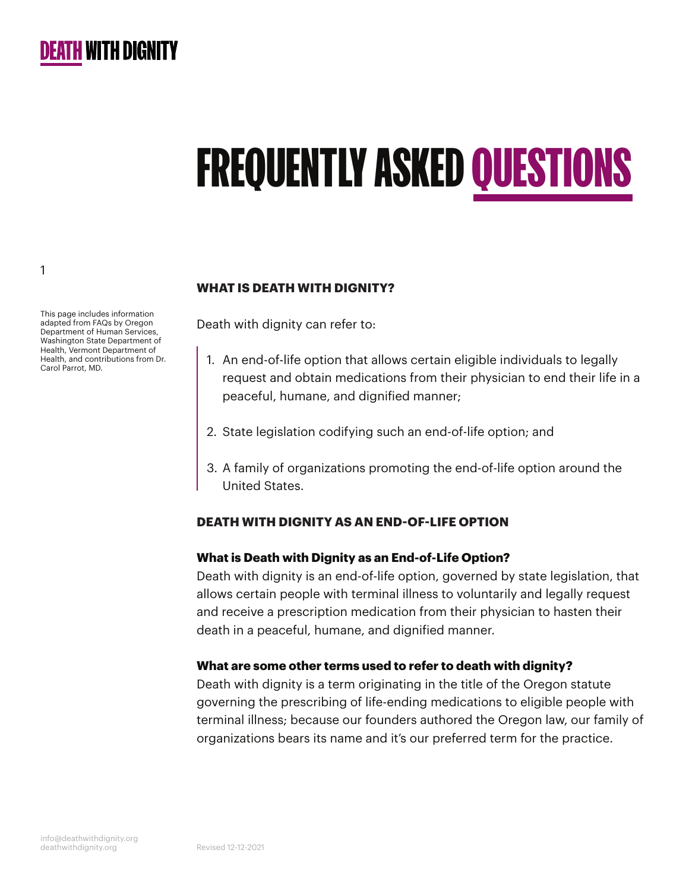

# FREQUENTLY ASKED QUESTIONS

This page includes information adapted from FAQs by Oregon Department of Human Services, Washington State Department of Health, Vermont Department of Health, and contributions from Dr. Carol Parrot, MD.

#### **WHAT IS DEATH WITH DIGNITY?**

Death with dignity can refer to:

- 1. An end-of-life option that allows certain eligible individuals to legally request and obtain medications from their physician to end their life in a peaceful, humane, and dignified manner;
- 2. State legislation codifying such an end-of-life option; and
- 3. A family of organizations promoting the end-of-life option around the United States.

#### **DEATH WITH DIGNITY AS AN END-OF-LIFE OPTION**

#### **What is Death with Dignity as an End-of-Life Option?**

Death with dignity is an end-of-life option, governed by state legislation, that allows certain people with terminal illness to voluntarily and legally request and receive a prescription medication from their physician to hasten their death in a peaceful, humane, and dignified manner.

#### **What are some other terms used to refer to death with dignity?**

Death with dignity is a term originating in the title of the Oregon statute governing the prescribing of life-ending medications to eligible people with terminal illness; because our founders authored the Oregon law, our family of organizations bears its name and it's our preferred term for the practice.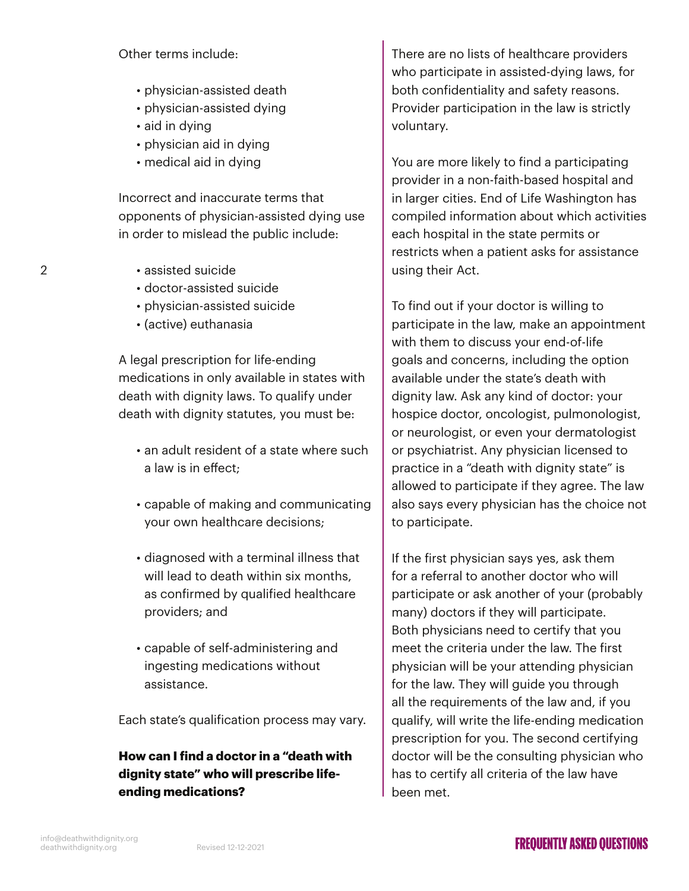#### Other terms include:

- physician-assisted death
- physician-assisted dying
- aid in dying
- physician aid in dying
- medical aid in dying

Incorrect and inaccurate terms that opponents of physician-assisted dying use in order to mislead the public include:

• assisted suicide

2

- doctor-assisted suicide
- physician-assisted suicide
- (active) euthanasia

A legal prescription for life-ending medications in only available in states with death with dignity laws. To qualify under death with dignity statutes, you must be:

- an adult resident of a state where such a law is in effect;
- capable of making and communicating your own healthcare decisions;
- diagnosed with a terminal illness that will lead to death within six months, as confirmed by qualified healthcare providers; and
- capable of self-administering and ingesting medications without assistance.

Each state's qualification process may vary.

# **How can I find a doctor in a "death with dignity state" who will prescribe lifeending medications?**

There are no lists of healthcare providers who participate in assisted-dying laws, for both confidentiality and safety reasons. Provider participation in the law is strictly voluntary.

You are more likely to find a participating provider in a non-faith-based hospital and in larger cities. End of Life Washington has compiled information about which activities each hospital in the state permits or restricts when a patient asks for assistance using their Act.

To find out if your doctor is willing to participate in the law, make an appointment with them to discuss your end-of-life goals and concerns, including the option available under the state's death with dignity law. Ask any kind of doctor: your hospice doctor, oncologist, pulmonologist, or neurologist, or even your dermatologist or psychiatrist. Any physician licensed to practice in a "death with dignity state" is allowed to participate if they agree. The law also says every physician has the choice not to participate.

If the first physician says yes, ask them for a referral to another doctor who will participate or ask another of your (probably many) doctors if they will participate. Both physicians need to certify that you meet the criteria under the law. The first physician will be your attending physician for the law. They will guide you through all the requirements of the law and, if you qualify, will write the life-ending medication prescription for you. The second certifying doctor will be the consulting physician who has to certify all criteria of the law have been met.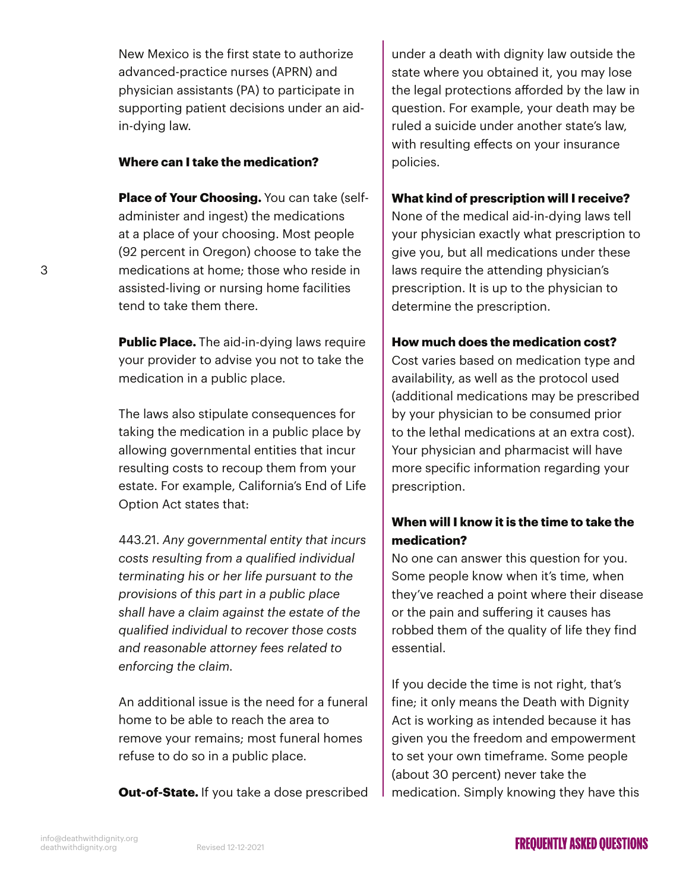New Mexico is the first state to authorize advanced-practice nurses (APRN) and physician assistants (PA) to participate in supporting patient decisions under an aidin-dying law.

#### **Where can I take the medication?**

**Place of Your Choosing.** You can take (selfadminister and ingest) the medications at a place of your choosing. Most people (92 percent in Oregon) choose to take the medications at home; those who reside in assisted-living or nursing home facilities tend to take them there.

**Public Place.** The aid-in-dying laws require your provider to advise you not to take the medication in a public place.

The laws also stipulate consequences for taking the medication in a public place by allowing governmental entities that incur resulting costs to recoup them from your estate. For example, California's End of Life Option Act states that:

443.21. *Any governmental entity that incurs costs resulting from a qualified individual terminating his or her life pursuant to the provisions of this part in a public place shall have a claim against the estate of the qualified individual to recover those costs and reasonable attorney fees related to enforcing the claim.*

An additional issue is the need for a funeral home to be able to reach the area to remove your remains; most funeral homes refuse to do so in a public place.

**Out-of-State.** If you take a dose prescribed

under a death with dignity law outside the state where you obtained it, you may lose the legal protections afforded by the law in question. For example, your death may be ruled a suicide under another state's law, with resulting effects on your insurance policies.

#### **What kind of prescription will I receive?**

None of the medical aid-in-dying laws tell your physician exactly what prescription to give you, but all medications under these laws require the attending physician's prescription. It is up to the physician to determine the prescription.

#### **How much does the medication cost?**

Cost varies based on medication type and availability, as well as the protocol used (additional medications may be prescribed by your physician to be consumed prior to the lethal medications at an extra cost). Your physician and pharmacist will have more specific information regarding your prescription.

# **When will I know it is the time to take the medication?**

No one can answer this question for you. Some people know when it's time, when they've reached a point where their disease or the pain and suffering it causes has robbed them of the quality of life they find essential.

If you decide the time is not right, that's fine; it only means the Death with Dignity Act is working as intended because it has given you the freedom and empowerment to set your own timeframe. Some people (about 30 percent) never take the medication. Simply knowing they have this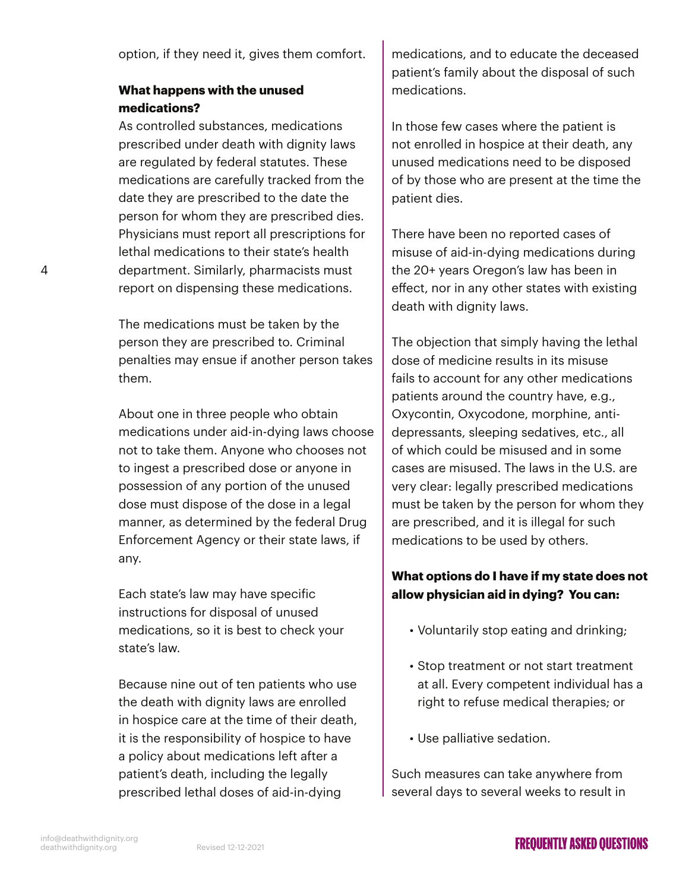option, if they need it, gives them comfort.

## **What happens with the unused medications?**

As controlled substances, medications prescribed under death with dignity laws are regulated by federal statutes. These medications are carefully tracked from the date they are prescribed to the date the person for whom they are prescribed dies. Physicians must report all prescriptions for lethal medications to their state's health department. Similarly, pharmacists must report on dispensing these medications.

The medications must be taken by the person they are prescribed to. Criminal penalties may ensue if another person takes them.

About one in three people who obtain medications under aid-in-dying laws choose not to take them. Anyone who chooses not to ingest a prescribed dose or anyone in possession of any portion of the unused dose must dispose of the dose in a legal manner, as determined by the federal Drug Enforcement Agency or their state laws, if any.

Each state's law may have specific instructions for disposal of unused medications, so it is best to check your state's law.

Because nine out of ten patients who use the death with dignity laws are enrolled in hospice care at the time of their death, it is the responsibility of hospice to have a policy about medications left after a patient's death, including the legally prescribed lethal doses of aid-in-dying

medications, and to educate the deceased patient's family about the disposal of such medications.

In those few cases where the patient is not enrolled in hospice at their death, any unused medications need to be disposed of by those who are present at the time the patient dies.

There have been no reported cases of misuse of aid-in-dying medications during the 20+ years Oregon's law has been in effect, nor in any other states with existing death with dignity laws.

The objection that simply having the lethal dose of medicine results in its misuse fails to account for any other medications patients around the country have, e.g., Oxycontin, Oxycodone, morphine, antidepressants, sleeping sedatives, etc., all of which could be misused and in some cases are misused. The laws in the U.S. are very clear: legally prescribed medications must be taken by the person for whom they are prescribed, and it is illegal for such medications to be used by others.

# **What options do I have if my state does not allow physician aid in dying? You can:**

- Voluntarily stop eating and drinking;
- Stop treatment or not start treatment at all. Every competent individual has a right to refuse medical therapies; or
- Use palliative sedation.

Such measures can take anywhere from several days to several weeks to result in

4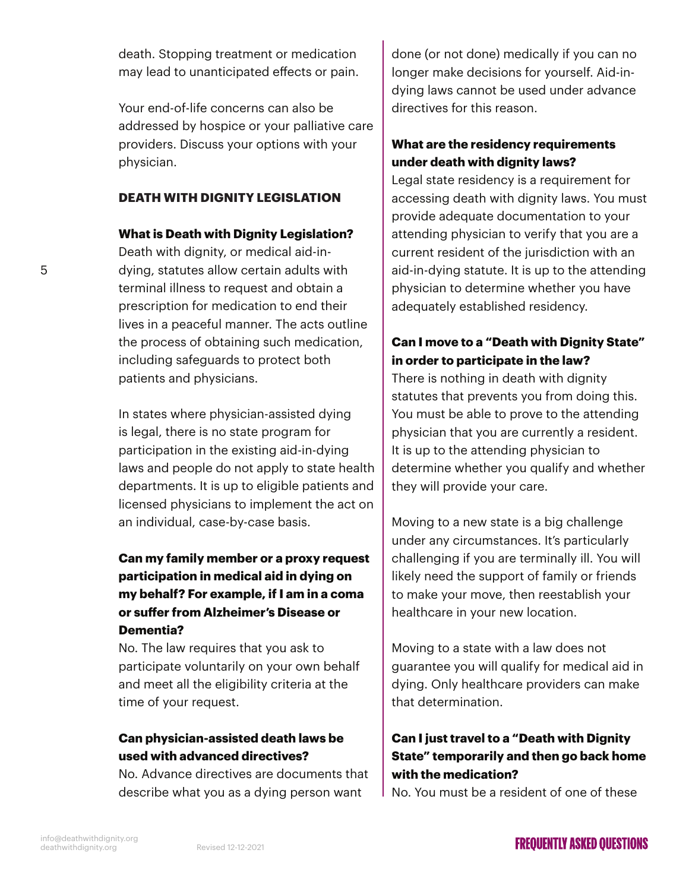death. Stopping treatment or medication may lead to unanticipated effects or pain.

Your end-of-life concerns can also be addressed by hospice or your palliative care providers. Discuss your options with your physician.

#### **DEATH WITH DIGNITY LEGISLATION**

#### **What is Death with Dignity Legislation?**

Death with dignity, or medical aid-indying, statutes allow certain adults with terminal illness to request and obtain a prescription for medication to end their lives in a peaceful manner. The acts outline the process of obtaining such medication, including safeguards to protect both patients and physicians.

In states where physician-assisted dying is legal, there is no state program for participation in the existing aid-in-dying laws and people do not apply to state health departments. It is up to eligible patients and licensed physicians to implement the act on an individual, case-by-case basis.

# **Can my family member or a proxy request participation in medical aid in dying on my behalf? For example, if I am in a coma or suffer from Alzheimer's Disease or Dementia?**

No. The law requires that you ask to participate voluntarily on your own behalf and meet all the eligibility criteria at the time of your request.

## **Can physician-assisted death laws be used with advanced directives?**

No. Advance directives are documents that describe what you as a dying person want

done (or not done) medically if you can no longer make decisions for yourself. Aid-indying laws cannot be used under advance directives for this reason.

## **What are the residency requirements under death with dignity laws?**

Legal state residency is a requirement for accessing death with dignity laws. You must provide adequate documentation to your attending physician to verify that you are a current resident of the jurisdiction with an aid-in-dying statute. It is up to the attending physician to determine whether you have adequately established residency.

## **Can I move to a "Death with Dignity State" in order to participate in the law?**

There is nothing in death with dignity statutes that prevents you from doing this. You must be able to prove to the attending physician that you are currently a resident. It is up to the attending physician to determine whether you qualify and whether they will provide your care.

Moving to a new state is a big challenge under any circumstances. It's particularly challenging if you are terminally ill. You will likely need the support of family or friends to make your move, then reestablish your healthcare in your new location.

Moving to a state with a law does not guarantee you will qualify for medical aid in dying. Only healthcare providers can make that determination.

# **Can I just travel to a "Death with Dignity State" temporarily and then go back home with the medication?**

No. You must be a resident of one of these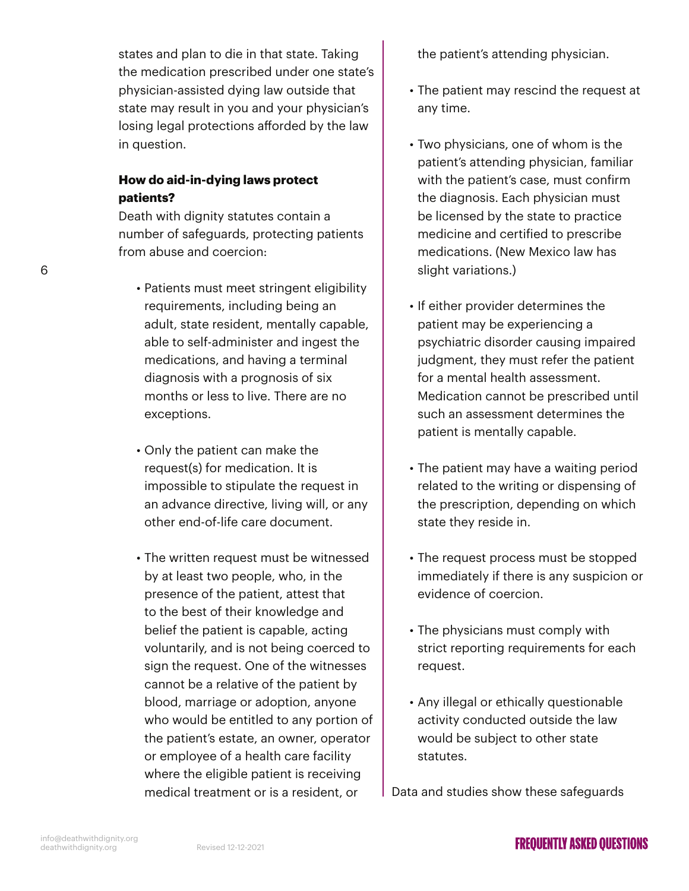states and plan to die in that state. Taking the medication prescribed under one state's physician-assisted dying law outside that state may result in you and your physician's losing legal protections afforded by the law in question.

#### **How do aid-in-dying laws protect patients?**

Death with dignity statutes contain a number of safeguards, protecting patients from abuse and coercion:

- Patients must meet stringent eligibility requirements, including being an adult, state resident, mentally capable, able to self-administer and ingest the medications, and having a terminal diagnosis with a prognosis of six months or less to live. There are no exceptions.
- Only the patient can make the request(s) for medication. It is impossible to stipulate the request in an advance directive, living will, or any other end-of-life care document.
- The written request must be witnessed by at least two people, who, in the presence of the patient, attest that to the best of their knowledge and belief the patient is capable, acting voluntarily, and is not being coerced to sign the request. One of the witnesses cannot be a relative of the patient by blood, marriage or adoption, anyone who would be entitled to any portion of the patient's estate, an owner, operator or employee of a health care facility where the eligible patient is receiving medical treatment or is a resident, or

the patient's attending physician.

- The patient may rescind the request at any time.
- Two physicians, one of whom is the patient's attending physician, familiar with the patient's case, must confirm the diagnosis. Each physician must be licensed by the state to practice medicine and certified to prescribe medications. (New Mexico law has slight variations.)
- If either provider determines the patient may be experiencing a psychiatric disorder causing impaired judgment, they must refer the patient for a mental health assessment. Medication cannot be prescribed until such an assessment determines the patient is mentally capable.
- The patient may have a waiting period related to the writing or dispensing of the prescription, depending on which state they reside in.
- The request process must be stopped immediately if there is any suspicion or evidence of coercion.
- The physicians must comply with strict reporting requirements for each request.
- Any illegal or ethically questionable activity conducted outside the law would be subject to other state statutes.

Data and studies show these safeguards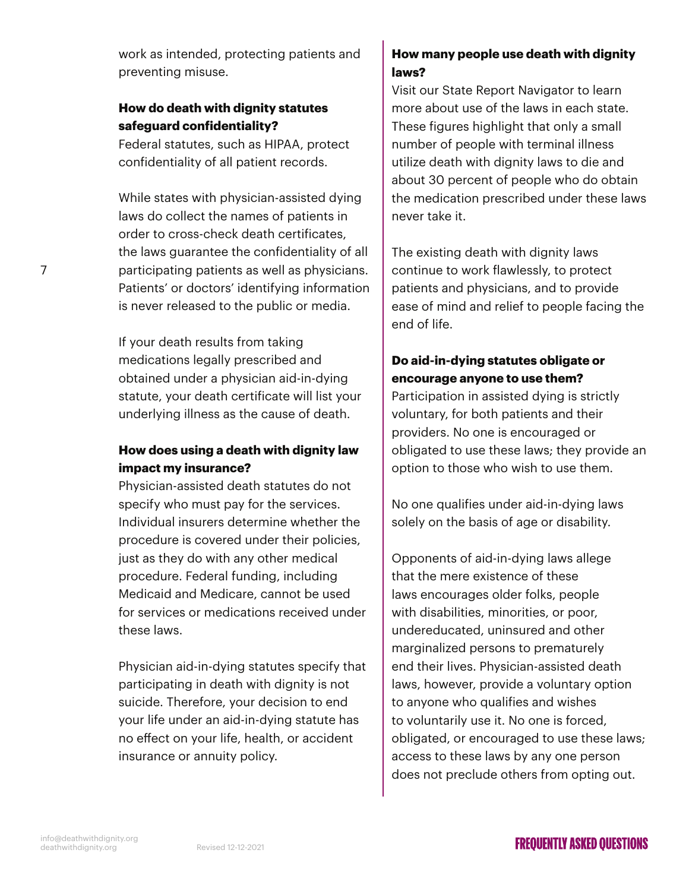work as intended, protecting patients and preventing misuse.

## **How do death with dignity statutes safeguard confidentiality?**

Federal statutes, such as HIPAA, protect confidentiality of all patient records.

While states with physician-assisted dying laws do collect the names of patients in order to cross-check death certificates, the laws guarantee the confidentiality of all participating patients as well as physicians. Patients' or doctors' identifying information is never released to the public or media.

If your death results from taking medications legally prescribed and obtained under a physician aid-in-dying statute, your death certificate will list your underlying illness as the cause of death.

## **How does using a death with dignity law impact my insurance?**

Physician-assisted death statutes do not specify who must pay for the services. Individual insurers determine whether the procedure is covered under their policies, just as they do with any other medical procedure. Federal funding, including Medicaid and Medicare, cannot be used for services or medications received under these laws.

Physician aid-in-dying statutes specify that participating in death with dignity is not suicide. Therefore, your decision to end your life under an aid-in-dying statute has no effect on your life, health, or accident insurance or annuity policy.

# **How many people use death with dignity laws?**

Visit our State Report Navigator to learn more about use of the laws in each state. These figures highlight that only a small number of people with terminal illness utilize death with dignity laws to die and about 30 percent of people who do obtain the medication prescribed under these laws never take it.

The existing death with dignity laws continue to work flawlessly, to protect patients and physicians, and to provide ease of mind and relief to people facing the end of life.

# **Do aid-in-dying statutes obligate or encourage anyone to use them?**

Participation in assisted dying is strictly voluntary, for both patients and their providers. No one is encouraged or obligated to use these laws; they provide an option to those who wish to use them.

No one qualifies under aid-in-dying laws solely on the basis of age or disability.

Opponents of aid-in-dying laws allege that the mere existence of these laws encourages older folks, people with disabilities, minorities, or poor, undereducated, uninsured and other marginalized persons to prematurely end their lives. Physician-assisted death laws, however, provide a voluntary option to anyone who qualifies and wishes to voluntarily use it. No one is forced, obligated, or encouraged to use these laws; access to these laws by any one person does not preclude others from opting out.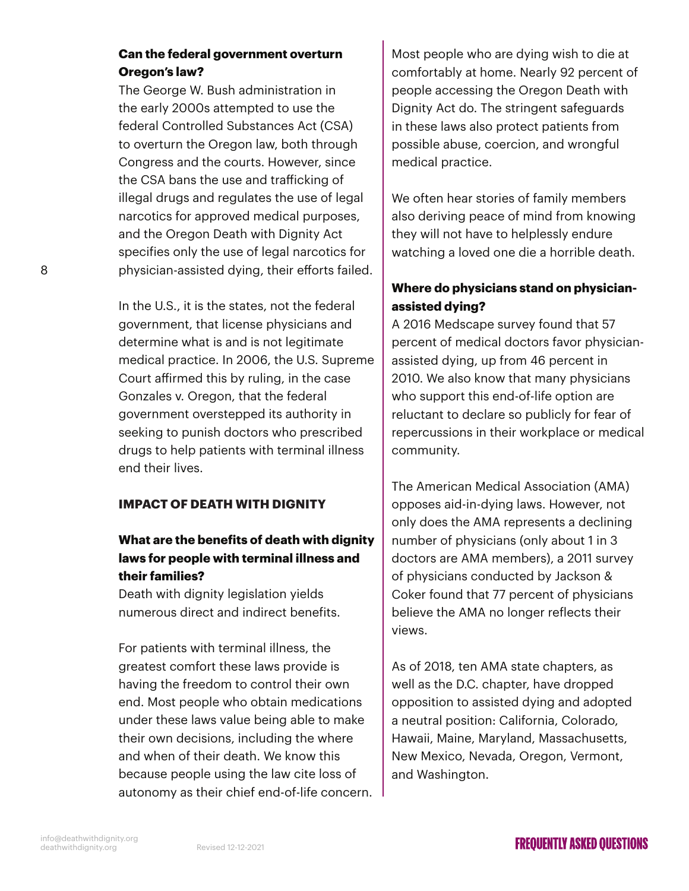## **Can the federal government overturn Oregon's law?**

The George W. Bush administration in the early 2000s attempted to use the federal Controlled Substances Act (CSA) to overturn the Oregon law, both through Congress and the courts. However, since the CSA bans the use and trafficking of illegal drugs and regulates the use of legal narcotics for approved medical purposes, and the Oregon Death with Dignity Act specifies only the use of legal narcotics for physician-assisted dying, their efforts failed.

In the U.S., it is the states, not the federal government, that license physicians and determine what is and is not legitimate medical practice. In 2006, the U.S. Supreme Court affirmed this by ruling, in the case Gonzales v. Oregon, that the federal government overstepped its authority in seeking to punish doctors who prescribed drugs to help patients with terminal illness end their lives.

#### **IMPACT OF DEATH WITH DIGNITY**

# **What are the benefits of death with dignity laws for people with terminal illness and their families?**

Death with dignity legislation yields numerous direct and indirect benefits.

For patients with terminal illness, the greatest comfort these laws provide is having the freedom to control their own end. Most people who obtain medications under these laws value being able to make their own decisions, including the where and when of their death. We know this because people using the law cite loss of autonomy as their chief end-of-life concern. Most people who are dying wish to die at comfortably at home. Nearly 92 percent of people accessing the Oregon Death with Dignity Act do. The stringent safeguards in these laws also protect patients from possible abuse, coercion, and wrongful medical practice.

We often hear stories of family members also deriving peace of mind from knowing they will not have to helplessly endure watching a loved one die a horrible death.

## **Where do physicians stand on physicianassisted dying?**

A 2016 Medscape survey found that 57 percent of medical doctors favor physicianassisted dying, up from 46 percent in 2010. We also know that many physicians who support this end-of-life option are reluctant to declare so publicly for fear of repercussions in their workplace or medical community.

The American Medical Association (AMA) opposes aid-in-dying laws. However, not only does the AMA represents a declining number of physicians (only about 1 in 3 doctors are AMA members), a 2011 survey of physicians conducted by Jackson & Coker found that 77 percent of physicians believe the AMA no longer reflects their views.

As of 2018, ten AMA state chapters, as well as the D.C. chapter, have dropped opposition to assisted dying and adopted a neutral position: California, Colorado, Hawaii, Maine, Maryland, Massachusetts, New Mexico, Nevada, Oregon, Vermont, and Washington.